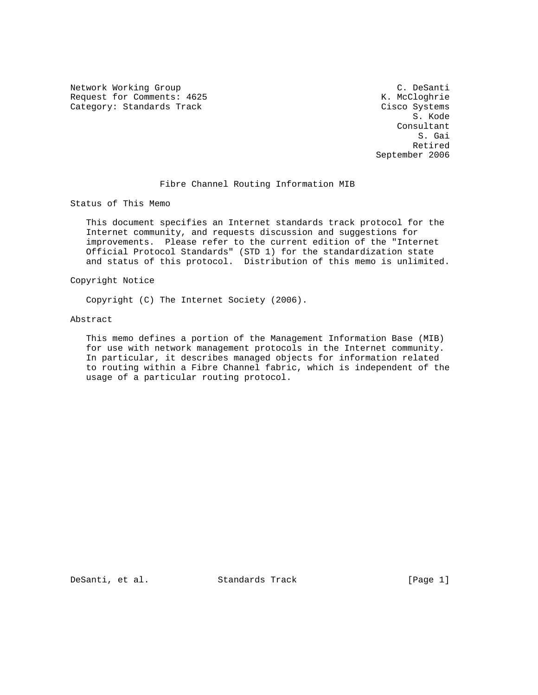Network Working Group and C. DeSanti C. DeSanti C. DeSanti C. DeSanti C. DeSanti C. DeSanti C. DeSanti C. DeSanti C. DeSanti C. DeSanti C. DeSanti C. DeSanti C. DeSanti C. DeSanti C. DeSanti C. DeSanti C. DeSanti C. DeSant Request for Comments: 4625 Category: Standards Track Cisco Systems

 S. Kode Consultant S. Gai **Retired** Section 2014 12:00 the Section 2014 12:00 the Section 2014 12:00 Section 2014 12:00 Section 2014 12:00 September 2006

# Fibre Channel Routing Information MIB

Status of This Memo

 This document specifies an Internet standards track protocol for the Internet community, and requests discussion and suggestions for improvements. Please refer to the current edition of the "Internet Official Protocol Standards" (STD 1) for the standardization state and status of this protocol. Distribution of this memo is unlimited.

Copyright Notice

Copyright (C) The Internet Society (2006).

#### Abstract

 This memo defines a portion of the Management Information Base (MIB) for use with network management protocols in the Internet community. In particular, it describes managed objects for information related to routing within a Fibre Channel fabric, which is independent of the usage of a particular routing protocol.

DeSanti, et al. Standards Track [Page 1]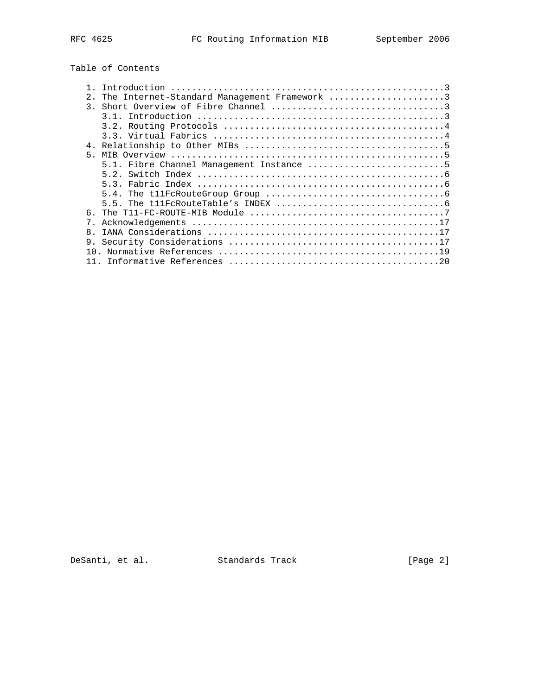# Table of Contents

|               | Introduction                                 |
|---------------|----------------------------------------------|
| $2^{\circ}$   | The Internet-Standard Management Framework 3 |
| $\mathcal{R}$ |                                              |
|               |                                              |
|               |                                              |
|               |                                              |
|               |                                              |
| 5             |                                              |
|               | 5.1. Fibre Channel Management Instance 5     |
|               | 5.2.                                         |
|               |                                              |
|               |                                              |
|               |                                              |
| б.            |                                              |
|               |                                              |
| $\mathsf{R}$  |                                              |
| 9.            |                                              |
|               |                                              |
|               |                                              |

DeSanti, et al. Standards Track [Page 2]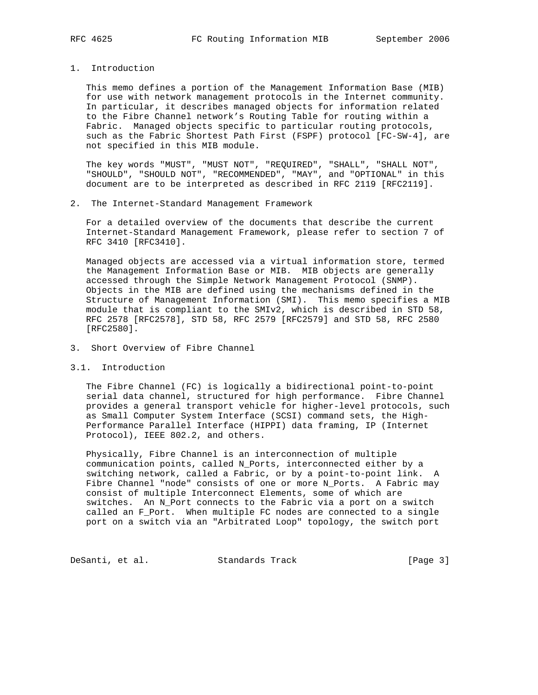1. Introduction

 This memo defines a portion of the Management Information Base (MIB) for use with network management protocols in the Internet community. In particular, it describes managed objects for information related to the Fibre Channel network's Routing Table for routing within a Fabric. Managed objects specific to particular routing protocols, such as the Fabric Shortest Path First (FSPF) protocol [FC-SW-4], are not specified in this MIB module.

 The key words "MUST", "MUST NOT", "REQUIRED", "SHALL", "SHALL NOT", "SHOULD", "SHOULD NOT", "RECOMMENDED", "MAY", and "OPTIONAL" in this document are to be interpreted as described in RFC 2119 [RFC2119].

2. The Internet-Standard Management Framework

 For a detailed overview of the documents that describe the current Internet-Standard Management Framework, please refer to section 7 of RFC 3410 [RFC3410].

 Managed objects are accessed via a virtual information store, termed the Management Information Base or MIB. MIB objects are generally accessed through the Simple Network Management Protocol (SNMP). Objects in the MIB are defined using the mechanisms defined in the Structure of Management Information (SMI). This memo specifies a MIB module that is compliant to the SMIv2, which is described in STD 58, RFC 2578 [RFC2578], STD 58, RFC 2579 [RFC2579] and STD 58, RFC 2580 [RFC2580].

- 3. Short Overview of Fibre Channel
- 3.1. Introduction

 The Fibre Channel (FC) is logically a bidirectional point-to-point serial data channel, structured for high performance. Fibre Channel provides a general transport vehicle for higher-level protocols, such as Small Computer System Interface (SCSI) command sets, the High- Performance Parallel Interface (HIPPI) data framing, IP (Internet Protocol), IEEE 802.2, and others.

 Physically, Fibre Channel is an interconnection of multiple communication points, called N\_Ports, interconnected either by a switching network, called a Fabric, or by a point-to-point link. A Fibre Channel "node" consists of one or more N\_Ports. A Fabric may consist of multiple Interconnect Elements, some of which are switches. An N\_Port connects to the Fabric via a port on a switch called an F\_Port. When multiple FC nodes are connected to a single port on a switch via an "Arbitrated Loop" topology, the switch port

DeSanti, et al. Standards Track [Page 3]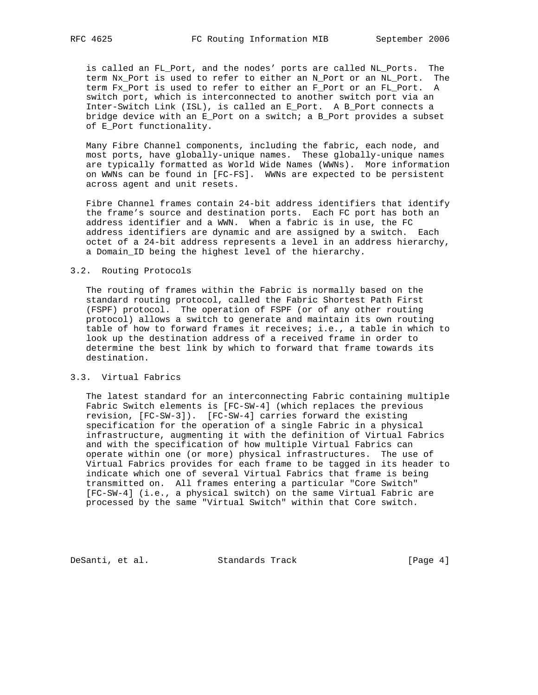is called an FL\_Port, and the nodes' ports are called NL\_Ports. The term Nx\_Port is used to refer to either an N\_Port or an NL\_Port. The term Fx\_Port is used to refer to either an F\_Port or an FL\_Port. A switch port, which is interconnected to another switch port via an Inter-Switch Link (ISL), is called an E\_Port. A B\_Port connects a bridge device with an E\_Port on a switch; a B\_Port provides a subset of E\_Port functionality.

 Many Fibre Channel components, including the fabric, each node, and most ports, have globally-unique names. These globally-unique names are typically formatted as World Wide Names (WWNs). More information on WWNs can be found in [FC-FS]. WWNs are expected to be persistent across agent and unit resets.

 Fibre Channel frames contain 24-bit address identifiers that identify the frame's source and destination ports. Each FC port has both an address identifier and a WWN. When a fabric is in use, the FC address identifiers are dynamic and are assigned by a switch. Each octet of a 24-bit address represents a level in an address hierarchy, a Domain\_ID being the highest level of the hierarchy.

#### 3.2. Routing Protocols

 The routing of frames within the Fabric is normally based on the standard routing protocol, called the Fabric Shortest Path First (FSPF) protocol. The operation of FSPF (or of any other routing protocol) allows a switch to generate and maintain its own routing table of how to forward frames it receives; i.e., a table in which to look up the destination address of a received frame in order to determine the best link by which to forward that frame towards its destination.

### 3.3. Virtual Fabrics

 The latest standard for an interconnecting Fabric containing multiple Fabric Switch elements is [FC-SW-4] (which replaces the previous revision, [FC-SW-3]). [FC-SW-4] carries forward the existing specification for the operation of a single Fabric in a physical infrastructure, augmenting it with the definition of Virtual Fabrics and with the specification of how multiple Virtual Fabrics can operate within one (or more) physical infrastructures. The use of Virtual Fabrics provides for each frame to be tagged in its header to indicate which one of several Virtual Fabrics that frame is being transmitted on. All frames entering a particular "Core Switch" [FC-SW-4] (i.e., a physical switch) on the same Virtual Fabric are processed by the same "Virtual Switch" within that Core switch.

DeSanti, et al. Standards Track [Page 4]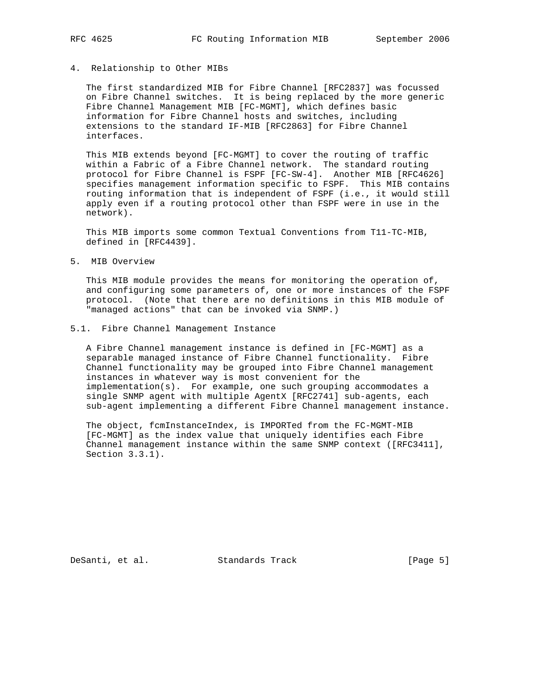#### 4. Relationship to Other MIBs

 The first standardized MIB for Fibre Channel [RFC2837] was focussed on Fibre Channel switches. It is being replaced by the more generic Fibre Channel Management MIB [FC-MGMT], which defines basic information for Fibre Channel hosts and switches, including extensions to the standard IF-MIB [RFC2863] for Fibre Channel interfaces.

 This MIB extends beyond [FC-MGMT] to cover the routing of traffic within a Fabric of a Fibre Channel network. The standard routing protocol for Fibre Channel is FSPF [FC-SW-4]. Another MIB [RFC4626] specifies management information specific to FSPF. This MIB contains routing information that is independent of FSPF (i.e., it would still apply even if a routing protocol other than FSPF were in use in the network).

 This MIB imports some common Textual Conventions from T11-TC-MIB, defined in [RFC4439].

5. MIB Overview

 This MIB module provides the means for monitoring the operation of, and configuring some parameters of, one or more instances of the FSPF protocol. (Note that there are no definitions in this MIB module of "managed actions" that can be invoked via SNMP.)

#### 5.1. Fibre Channel Management Instance

 A Fibre Channel management instance is defined in [FC-MGMT] as a separable managed instance of Fibre Channel functionality. Fibre Channel functionality may be grouped into Fibre Channel management instances in whatever way is most convenient for the implementation(s). For example, one such grouping accommodates a single SNMP agent with multiple AgentX [RFC2741] sub-agents, each sub-agent implementing a different Fibre Channel management instance.

 The object, fcmInstanceIndex, is IMPORTed from the FC-MGMT-MIB [FC-MGMT] as the index value that uniquely identifies each Fibre Channel management instance within the same SNMP context ([RFC3411], Section 3.3.1).

DeSanti, et al. Standards Track [Page 5]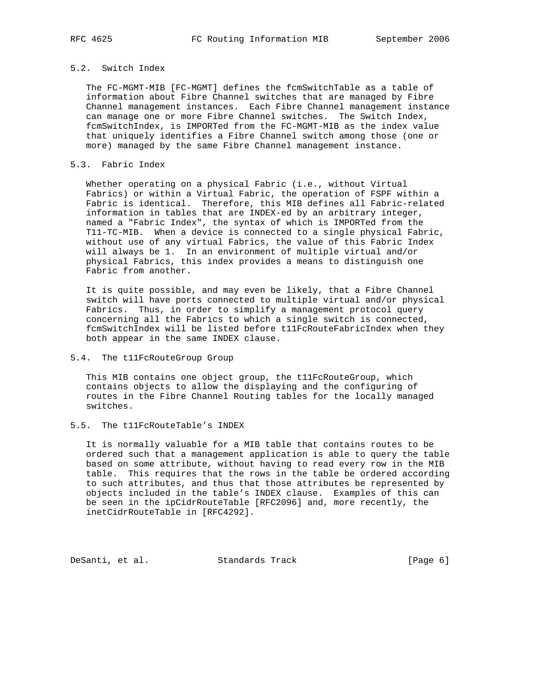## 5.2. Switch Index

 The FC-MGMT-MIB [FC-MGMT] defines the fcmSwitchTable as a table of information about Fibre Channel switches that are managed by Fibre Channel management instances. Each Fibre Channel management instance can manage one or more Fibre Channel switches. The Switch Index, fcmSwitchIndex, is IMPORTed from the FC-MGMT-MIB as the index value that uniquely identifies a Fibre Channel switch among those (one or more) managed by the same Fibre Channel management instance.

#### 5.3. Fabric Index

Whether operating on a physical Fabric (i.e., without Virtual Fabrics) or within a Virtual Fabric, the operation of FSPF within a Fabric is identical. Therefore, this MIB defines all Fabric-related information in tables that are INDEX-ed by an arbitrary integer, named a "Fabric Index", the syntax of which is IMPORTed from the T11-TC-MIB. When a device is connected to a single physical Fabric, without use of any virtual Fabrics, the value of this Fabric Index will always be 1. In an environment of multiple virtual and/or physical Fabrics, this index provides a means to distinguish one Fabric from another.

 It is quite possible, and may even be likely, that a Fibre Channel switch will have ports connected to multiple virtual and/or physical Fabrics. Thus, in order to simplify a management protocol query concerning all the Fabrics to which a single switch is connected, fcmSwitchIndex will be listed before t11FcRouteFabricIndex when they both appear in the same INDEX clause.

### 5.4. The t11FcRouteGroup Group

This MIB contains one object group, the t11FcRouteGroup, which contains objects to allow the displaying and the configuring of routes in the Fibre Channel Routing tables for the locally managed switches.

# 5.5. The t11FcRouteTable's INDEX

 It is normally valuable for a MIB table that contains routes to be ordered such that a management application is able to query the table based on some attribute, without having to read every row in the MIB table. This requires that the rows in the table be ordered according to such attributes, and thus that those attributes be represented by objects included in the table's INDEX clause. Examples of this can be seen in the ipCidrRouteTable [RFC2096] and, more recently, the inetCidrRouteTable in [RFC4292].

DeSanti, et al. Standards Track [Page 6]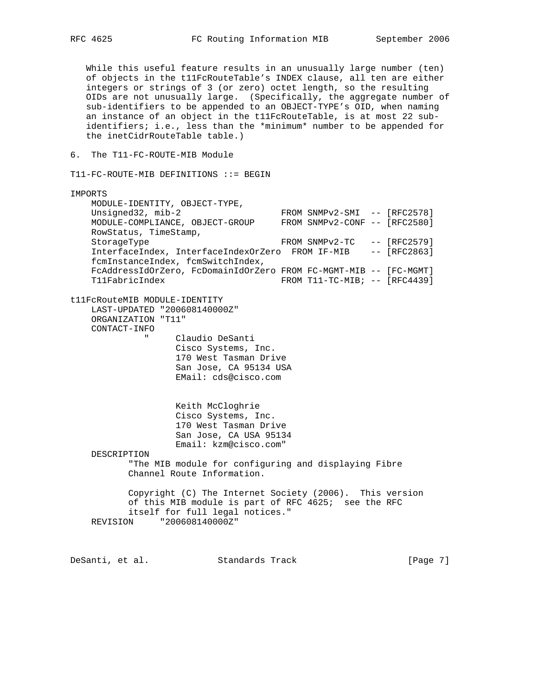While this useful feature results in an unusually large number (ten) of objects in the t11FcRouteTable's INDEX clause, all ten are either integers or strings of 3 (or zero) octet length, so the resulting OIDs are not unusually large. (Specifically, the aggregate number of sub-identifiers to be appended to an OBJECT-TYPE's OID, when naming an instance of an object in the t11FcRouteTable, is at most 22 sub identifiers; i.e., less than the \*minimum\* number to be appended for the inetCidrRouteTable table.) 6. The T11-FC-ROUTE-MIB Module T11-FC-ROUTE-MIB DEFINITIONS ::= BEGIN IMPORTS MODULE-IDENTITY, OBJECT-TYPE, Unsigned32, mib-2 FROM SNMPv2-SMI -- [RFC2578]<br>MODULE-COMPLIANCE, OBJECT-GROUP FROM SNMPv2-CONF -- [RFC2580] MODULE-COMPLIANCE, OBJECT-GROUP RowStatus, TimeStamp, StorageType FROM SNMPv2-TC -- [RFC2579] InterfaceIndex, InterfaceIndexOrZero FROM IF-MIB -- [RFC2863] fcmInstanceIndex, fcmSwitchIndex, FcAddressIdOrZero, FcDomainIdOrZero FROM FC-MGMT-MIB -- [FC-MGMT] T11FabricIndex FROM T11-TC-MIB; -- [RFC4439] t11FcRouteMIB MODULE-IDENTITY LAST-UPDATED "200608140000Z" ORGANIZATION "T11" CONTACT-INFO " Claudio DeSanti Cisco Systems, Inc. 170 West Tasman Drive San Jose, CA 95134 USA EMail: cds@cisco.com Keith McCloghrie Cisco Systems, Inc. 170 West Tasman Drive San Jose, CA USA 95134 Email: kzm@cisco.com" DESCRIPTION "The MIB module for configuring and displaying Fibre Channel Route Information. Copyright (C) The Internet Society (2006). This version of this MIB module is part of RFC 4625; see the RFC itself for full legal notices." REVISION "200608140000Z"

DeSanti, et al. Standards Track [Page 7]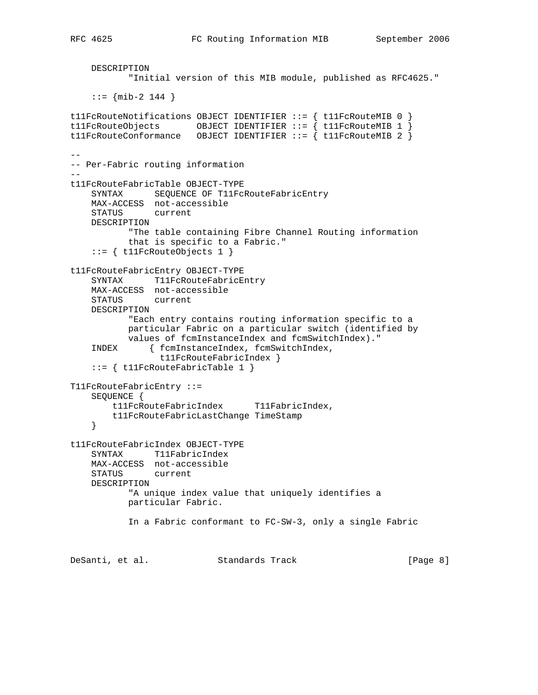```
 DESCRIPTION
            "Initial version of this MIB module, published as RFC4625."
    : := \{ \text{min-2} \ 144 \}t11FcRouteNotifications OBJECT IDENTIFIER ::= { t11FcRouteMIB 0 }
t11FcRouteObjects OBJECT IDENTIFIER ::= \{ t11FcRouteMIB 1 \}t11FcRouteConformance OBJECT IDENTIFIER ::= \{ t11FcRouteMIB 2 \}--
-- Per-Fabric routing information
--
t11FcRouteFabricTable OBJECT-TYPE
    SYNTAX SEQUENCE OF T11FcRouteFabricEntry
    MAX-ACCESS not-accessible
    STATUS current
    DESCRIPTION
           "The table containing Fibre Channel Routing information
           that is specific to a Fabric."
     ::= { t11FcRouteObjects 1 }
t11FcRouteFabricEntry OBJECT-TYPE
    SYNTAX T11FcRouteFabricEntry
    MAX-ACCESS not-accessible
    STATUS current
    DESCRIPTION
           "Each entry contains routing information specific to a
           particular Fabric on a particular switch (identified by
           values of fcmInstanceIndex and fcmSwitchIndex)."
     INDEX { fcmInstanceIndex, fcmSwitchIndex,
                 t11FcRouteFabricIndex }
     ::= { t11FcRouteFabricTable 1 }
T11FcRouteFabricEntry ::=
    SEQUENCE {
        t11FcRouteFabricIndex T11FabricIndex,
        t11FcRouteFabricLastChange TimeStamp
     }
t11FcRouteFabricIndex OBJECT-TYPE
     SYNTAX T11FabricIndex
    MAX-ACCESS not-accessible
   STATUS
    DESCRIPTION
           "A unique index value that uniquely identifies a
           particular Fabric.
           In a Fabric conformant to FC-SW-3, only a single Fabric
DeSanti, et al. Standards Track [Page 8]
```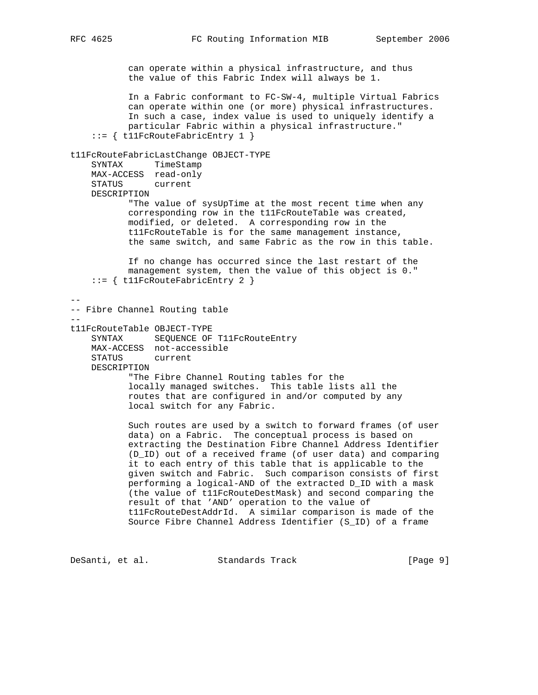can operate within a physical infrastructure, and thus the value of this Fabric Index will always be 1. In a Fabric conformant to FC-SW-4, multiple Virtual Fabrics can operate within one (or more) physical infrastructures. In such a case, index value is used to uniquely identify a particular Fabric within a physical infrastructure." ::= { t11FcRouteFabricEntry 1 } t11FcRouteFabricLastChange OBJECT-TYPE SYNTAX TimeStamp MAX-ACCESS read-only STATUS current DESCRIPTION "The value of sysUpTime at the most recent time when any corresponding row in the t11FcRouteTable was created, modified, or deleted. A corresponding row in the t11FcRouteTable is for the same management instance, the same switch, and same Fabric as the row in this table. If no change has occurred since the last restart of the management system, then the value of this object is 0." ::= { t11FcRouteFabricEntry 2 } -- -- Fibre Channel Routing table - t11FcRouteTable OBJECT-TYPE SYNTAX SEQUENCE OF T11FcRouteEntry MAX-ACCESS not-accessible STATUS current DESCRIPTION "The Fibre Channel Routing tables for the locally managed switches. This table lists all the routes that are configured in and/or computed by any local switch for any Fabric. Such routes are used by a switch to forward frames (of user data) on a Fabric. The conceptual process is based on extracting the Destination Fibre Channel Address Identifier (D\_ID) out of a received frame (of user data) and comparing it to each entry of this table that is applicable to the given switch and Fabric. Such comparison consists of first performing a logical-AND of the extracted D\_ID with a mask (the value of t11FcRouteDestMask) and second comparing the result of that 'AND' operation to the value of

 t11FcRouteDestAddrId. A similar comparison is made of the Source Fibre Channel Address Identifier (S\_ID) of a frame

DeSanti, et al. Standards Track [Page 9]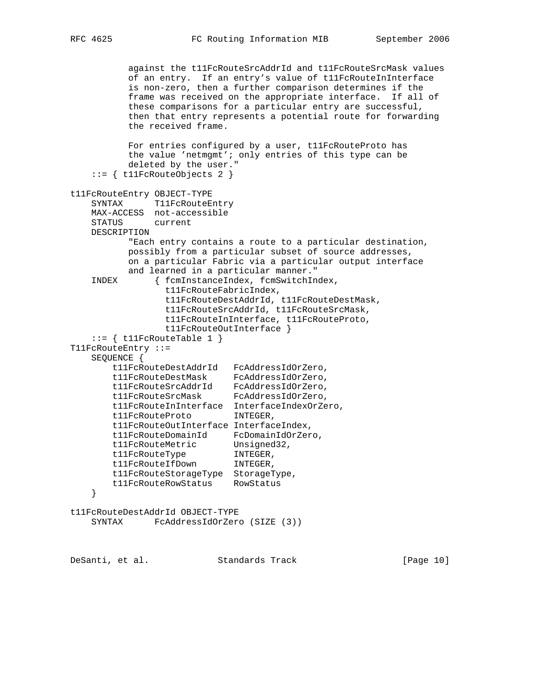```
 against the t11FcRouteSrcAddrId and t11FcRouteSrcMask values
           of an entry. If an entry's value of t11FcRouteInInterface
           is non-zero, then a further comparison determines if the
           frame was received on the appropriate interface. If all of
           these comparisons for a particular entry are successful,
           then that entry represents a potential route for forwarding
           the received frame.
           For entries configured by a user, t11FcRouteProto has
           the value 'netmgmt'; only entries of this type can be
           deleted by the user."
    ::= { t11FcRouteObjects 2 }
t11FcRouteEntry OBJECT-TYPE
   SYNTAX T11FcRouteEntry
    MAX-ACCESS not-accessible
   STATUS
    DESCRIPTION
           "Each entry contains a route to a particular destination,
           possibly from a particular subset of source addresses,
           on a particular Fabric via a particular output interface
           and learned in a particular manner."
    INDEX { fcmInstanceIndex, fcmSwitchIndex,
                 t11FcRouteFabricIndex,
                 t11FcRouteDestAddrId, t11FcRouteDestMask,
                  t11FcRouteSrcAddrId, t11FcRouteSrcMask,
                 t11FcRouteInInterface, t11FcRouteProto,
                  t11FcRouteOutInterface }
   ::= \{ t11FcRouteTable 1 \}T11FcRouteEntry ::=
    SEQUENCE {
        t11FcRouteDestAddrId FcAddressIdOrZero,
 t11FcRouteDestMask FcAddressIdOrZero,
 t11FcRouteSrcAddrId FcAddressIdOrZero,
 t11FcRouteSrcMask FcAddressIdOrZero,
        t11FcRouteInInterface InterfaceIndexOrZero,
        t11FcRouteProto INTEGER,
        t11FcRouteOutInterface InterfaceIndex,
 t11FcRouteDomainId FcDomainIdOrZero,
t11FcRouteMetric Unsigned32,
t11FcRouteType INTEGER,
t11FcRouteIfDown INTEGER,
        t11FcRouteStorageType StorageType,
        t11FcRouteRowStatus RowStatus
    }
t11FcRouteDestAddrId OBJECT-TYPE
    SYNTAX FcAddressIdOrZero (SIZE (3))
```
DeSanti, et al. Standards Track [Page 10]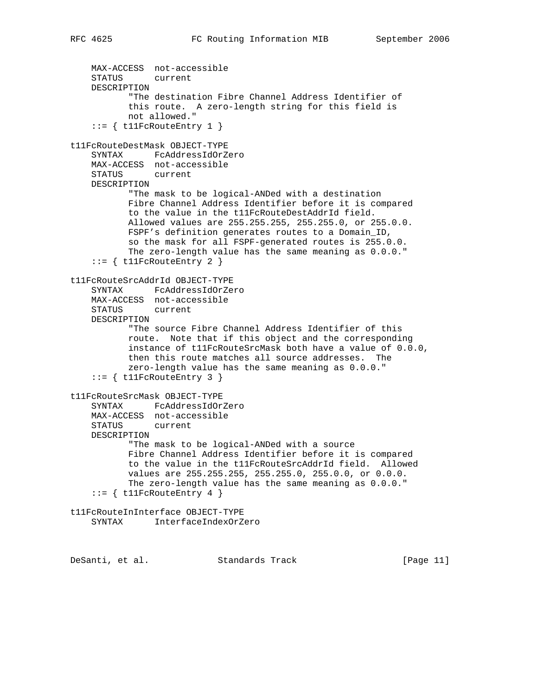```
 MAX-ACCESS not-accessible
     STATUS current
    DESCRIPTION
            "The destination Fibre Channel Address Identifier of
           this route. A zero-length string for this field is
           not allowed."
    ::= \{ t11FcRouteEntry 1 }
t11FcRouteDestMask OBJECT-TYPE
     SYNTAX FcAddressIdOrZero
    MAX-ACCESS not-accessible
    STATUS current
    DESCRIPTION
           "The mask to be logical-ANDed with a destination
           Fibre Channel Address Identifier before it is compared
           to the value in the t11FcRouteDestAddrId field.
           Allowed values are 255.255.255, 255.255.0, or 255.0.0.
           FSPF's definition generates routes to a Domain_ID,
           so the mask for all FSPF-generated routes is 255.0.0.
           The zero-length value has the same meaning as 0.0.0."
    ::= { t11FcRouteEntry 2 }
t11FcRouteSrcAddrId OBJECT-TYPE
     SYNTAX FcAddressIdOrZero
    MAX-ACCESS not-accessible
    STATUS current
    DESCRIPTION
            "The source Fibre Channel Address Identifier of this
           route. Note that if this object and the corresponding
            instance of t11FcRouteSrcMask both have a value of 0.0.0,
           then this route matches all source addresses. The
            zero-length value has the same meaning as 0.0.0."
    ::= { t11FcRouteEntry 3 }
t11FcRouteSrcMask OBJECT-TYPE
     SYNTAX FcAddressIdOrZero
    MAX-ACCESS not-accessible
    STATUS current
    DESCRIPTION
            "The mask to be logical-ANDed with a source
           Fibre Channel Address Identifier before it is compared
           to the value in the t11FcRouteSrcAddrId field. Allowed
           values are 255.255.255, 255.255.0, 255.0.0, or 0.0.0.
           The zero-length value has the same meaning as 0.0.0."
    ::= { t11FcRouteEntry 4 }
t11FcRouteInInterface OBJECT-TYPE
     SYNTAX InterfaceIndexOrZero
```
DeSanti, et al. Standards Track [Page 11]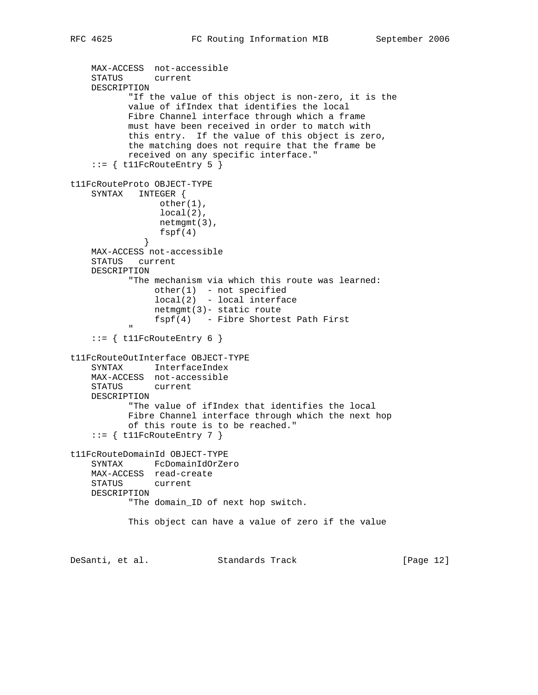```
 MAX-ACCESS not-accessible
     STATUS current
    DESCRIPTION
           "If the value of this object is non-zero, it is the
           value of ifIndex that identifies the local
           Fibre Channel interface through which a frame
           must have been received in order to match with
           this entry. If the value of this object is zero,
           the matching does not require that the frame be
           received on any specific interface."
    ::= { t11FcRouteEntry 5 }
t11FcRouteProto OBJECT-TYPE
    SYNTAX INTEGER {
                 other(1),
                 local(2),
                 netmgmt(3),
             fspf(4)<br>}
 }
    MAX-ACCESS not-accessible
    STATUS current
    DESCRIPTION
           "The mechanism via which this route was learned:
               other(1) - not specified
                local(2) - local interface
                netmgmt(3)- static route
                fspf(4) - Fibre Shortest Path First
 "
    ::= { t11FcRouteEntry 6 }
t11FcRouteOutInterface OBJECT-TYPE
    SYNTAX InterfaceIndex
    MAX-ACCESS not-accessible
    STATUS current
    DESCRIPTION
           "The value of ifIndex that identifies the local
           Fibre Channel interface through which the next hop
           of this route is to be reached."
    ::= { t11FcRouteEntry 7 }
t11FcRouteDomainId OBJECT-TYPE
    SYNTAX FcDomainIdOrZero
    MAX-ACCESS read-create
    STATUS current
    DESCRIPTION
           "The domain_ID of next hop switch.
           This object can have a value of zero if the value
DeSanti, et al. Standards Track [Page 12]
```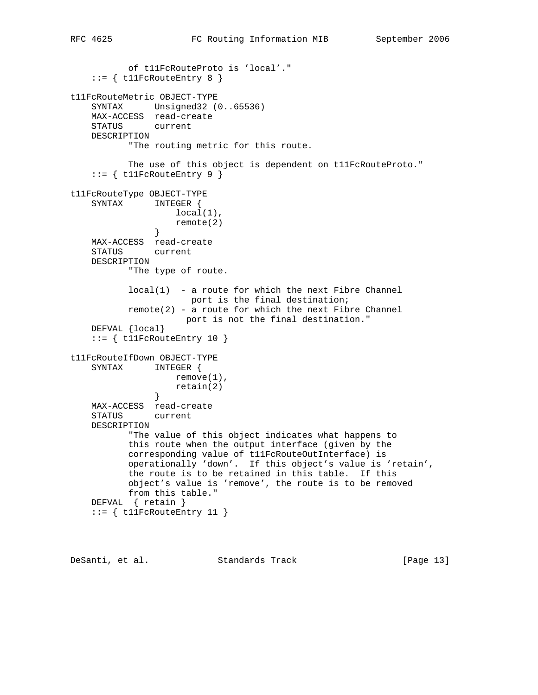```
 of t11FcRouteProto is 'local'."
    ::= { t11FcRouteEntry 8 }
t11FcRouteMetric OBJECT-TYPE
     SYNTAX Unsigned32 (0..65536)
    MAX-ACCESS read-create
    STATUS current
    DESCRIPTION
           "The routing metric for this route.
           The use of this object is dependent on t11FcRouteProto."
    ::= { t11FcRouteEntry 9 }
t11FcRouteType OBJECT-TYPE
    SYNTAX INTEGER {
                 local(1),
                remote(2)
 }
    MAX-ACCESS read-create
    STATUS current
    DESCRIPTION
           "The type of route.
          local(1) - a route for which the next Fibre Channel
                       port is the final destination;
          port is the final destination.<br>remote(2) - a route for which the next Fibre Channel
                      port is not the final destination."
    DEFVAL {local}
     ::= { t11FcRouteEntry 10 }
t11FcRouteIfDown OBJECT-TYPE
    SYNTAX INTEGER {
                   remove(1),
               reta(2)}
 }
    MAX-ACCESS read-create
     STATUS current
    DESCRIPTION
           "The value of this object indicates what happens to
           this route when the output interface (given by the
           corresponding value of t11FcRouteOutInterface) is
           operationally 'down'. If this object's value is 'retain',
           the route is to be retained in this table. If this
           object's value is 'remove', the route is to be removed
           from this table."
    DEFVAL { retain }
    ::= \{ t11FcRouteEntry 11 \}
```
DeSanti, et al. Standards Track [Page 13]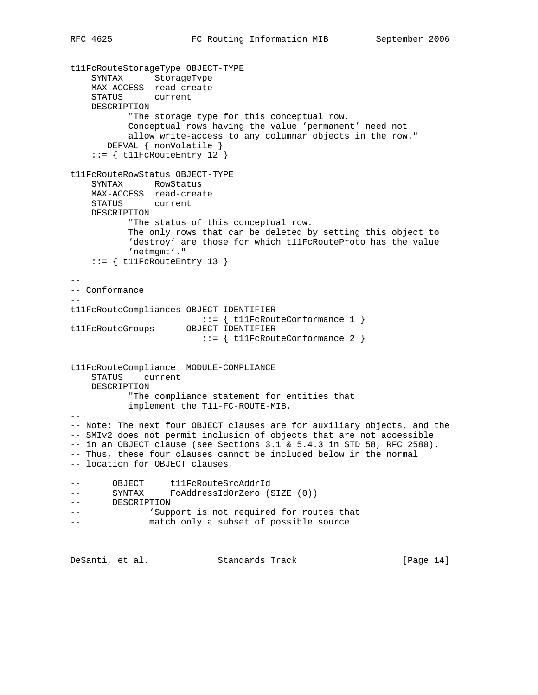```
t11FcRouteStorageType OBJECT-TYPE
     SYNTAX StorageType
    MAX-ACCESS read-create
     STATUS current
    DESCRIPTION
           "The storage type for this conceptual row.
           Conceptual rows having the value 'permanent' need not
           allow write-access to any columnar objects in the row."
       DEFVAL { nonVolatile }
     ::= { t11FcRouteEntry 12 }
t11FcRouteRowStatus OBJECT-TYPE
     SYNTAX RowStatus
    MAX-ACCESS read-create
    STATUS current
    DESCRIPTION
           "The status of this conceptual row.
           The only rows that can be deleted by setting this object to
           'destroy' are those for which t11FcRouteProto has the value
           'netmgmt'."
    ::= { t11FcRouteEntry 13 }
--
-- Conformance
- -t11FcRouteCompliances OBJECT IDENTIFIER
                        ::= { t11FcRouteConformance 1 }
t11FcRouteGroups OBJECT IDENTIFIER
                        ::= { t11FcRouteConformance 2 }
t11FcRouteCompliance MODULE-COMPLIANCE
    STATUS current
    DESCRIPTION
           "The compliance statement for entities that
           implement the T11-FC-ROUTE-MIB.
- --- Note: The next four OBJECT clauses are for auxiliary objects, and the
-- SMIv2 does not permit inclusion of objects that are not accessible
-- in an OBJECT clause (see Sections 3.1 & 5.4.3 in STD 58, RFC 2580).
-- Thus, these four clauses cannot be included below in the normal
-- location for OBJECT clauses.
- --- OBJECT t11FcRouteSrcAddrId
-- SYNTAX FcAddressIdOrZero (SIZE (0))
-- DESCRIPTION
-- \blacksquare 'Support is not required for routes that
-- match only a subset of possible source
```
DeSanti, et al. Standards Track [Page 14]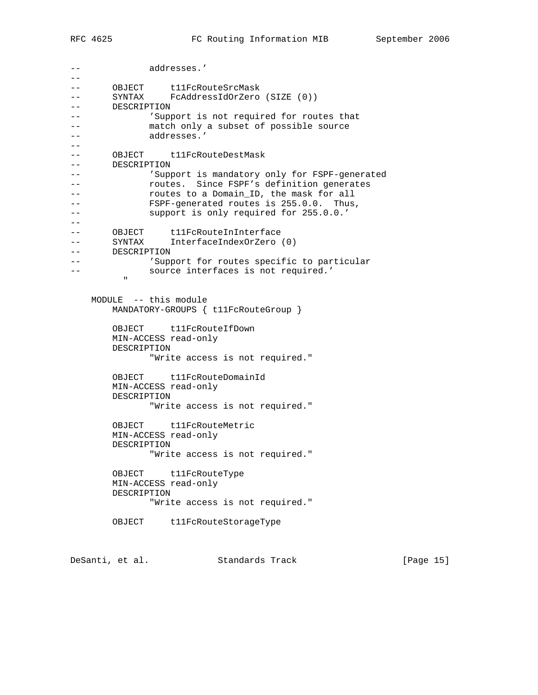-- addresses.' -- -- OBJECT t11FcRouteSrcMask -- SYNTAX FcAddressIdOrZero (SIZE (0)) -- DESCRIPTION --  $\blacksquare$  'Support is not required for routes that -- match only a subset of possible source -- addresses.' -- -- OBJECT t11FcRouteDestMask -- DESCRIPTION -- 'Support is mandatory only for FSPF-generated -- **The routes.** Since FSPF's definition generates -- routes to a Domain\_ID, the mask for all -- FSPF-generated routes is 255.0.0. Thus, -- support is only required for 255.0.0.'  $--$ -- OBJECT t11FcRouteInInterface -- SYNTAX InterfaceIndexOrZero (0) -- DESCRIPTION --  $\blacksquare$  'Support for routes specific to particular -- source interfaces is not required.' " "The Contract of the Contract of the Contract of the Contract of the Contract of the Contract of the Contract of the Contract of the Contract of the Contract of the Contract of the Contract of the Contract of the Contrac MODULE -- this module MANDATORY-GROUPS { t11FcRouteGroup } OBJECT t11FcRouteIfDown MIN-ACCESS read-only DESCRIPTION "Write access is not required." OBJECT t11FcRouteDomainId MIN-ACCESS read-only DESCRIPTION "Write access is not required." OBJECT t11FcRouteMetric MIN-ACCESS read-only DESCRIPTION "Write access is not required." OBJECT t11FcRouteType MIN-ACCESS read-only DESCRIPTION "Write access is not required." OBJECT t11FcRouteStorageType

DeSanti, et al. Standards Track [Page 15]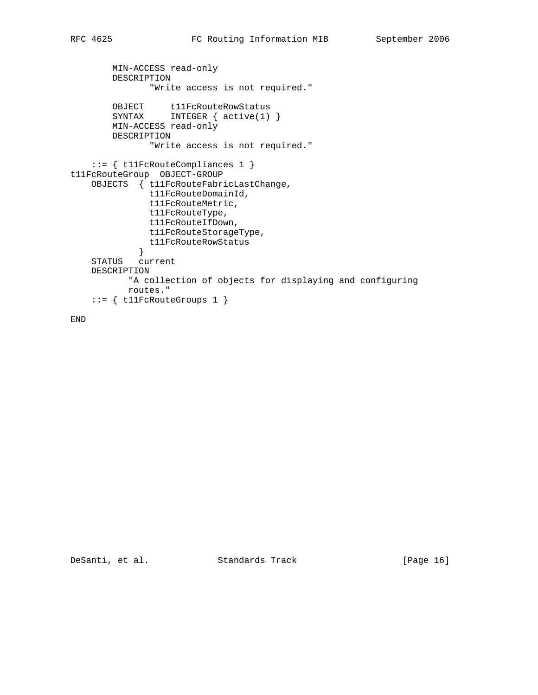```
 MIN-ACCESS read-only
        DESCRIPTION
               "Write access is not required."
OBJECT t11FcRouteRowStatus
 SYNTAX INTEGER { active(1) }
        MIN-ACCESS read-only
        DESCRIPTION
               "Write access is not required."
     ::= { t11FcRouteCompliances 1 }
t11FcRouteGroup OBJECT-GROUP
    OBJECTS { t11FcRouteFabricLastChange,
               t11FcRouteDomainId,
               t11FcRouteMetric,
               t11FcRouteType,
               t11FcRouteIfDown,
               t11FcRouteStorageType,
               t11FcRouteRowStatus
             }
    STATUS current
    DESCRIPTION
           "A collection of objects for displaying and configuring
           routes."
     ::= { t11FcRouteGroups 1 }
```
END

DeSanti, et al. Standards Track [Page 16]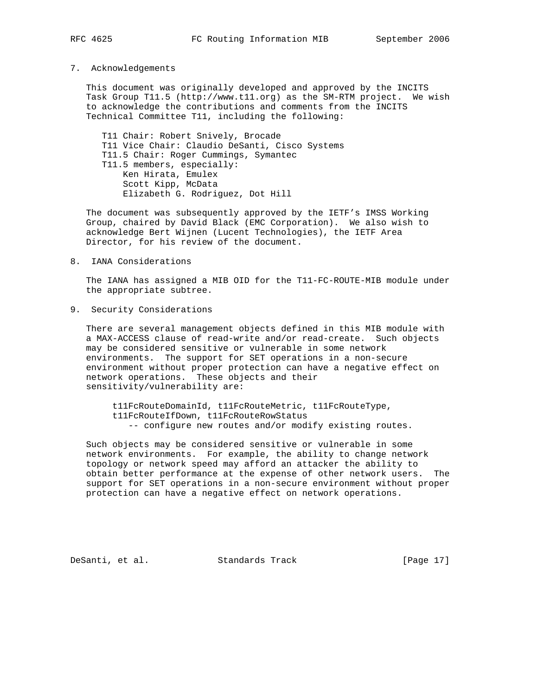#### 7. Acknowledgements

 This document was originally developed and approved by the INCITS Task Group T11.5 (http://www.t11.org) as the SM-RTM project. We wish to acknowledge the contributions and comments from the INCITS Technical Committee T11, including the following:

 T11 Chair: Robert Snively, Brocade T11 Vice Chair: Claudio DeSanti, Cisco Systems T11.5 Chair: Roger Cummings, Symantec T11.5 members, especially: Ken Hirata, Emulex Scott Kipp, McData Elizabeth G. Rodriguez, Dot Hill

 The document was subsequently approved by the IETF's IMSS Working Group, chaired by David Black (EMC Corporation). We also wish to acknowledge Bert Wijnen (Lucent Technologies), the IETF Area Director, for his review of the document.

8. IANA Considerations

 The IANA has assigned a MIB OID for the T11-FC-ROUTE-MIB module under the appropriate subtree.

9. Security Considerations

 There are several management objects defined in this MIB module with a MAX-ACCESS clause of read-write and/or read-create. Such objects may be considered sensitive or vulnerable in some network environments. The support for SET operations in a non-secure environment without proper protection can have a negative effect on network operations. These objects and their sensitivity/vulnerability are:

 t11FcRouteDomainId, t11FcRouteMetric, t11FcRouteType, t11FcRouteIfDown, t11FcRouteRowStatus -- configure new routes and/or modify existing routes.

 Such objects may be considered sensitive or vulnerable in some network environments. For example, the ability to change network topology or network speed may afford an attacker the ability to obtain better performance at the expense of other network users. The support for SET operations in a non-secure environment without proper protection can have a negative effect on network operations.

DeSanti, et al. Standards Track [Page 17]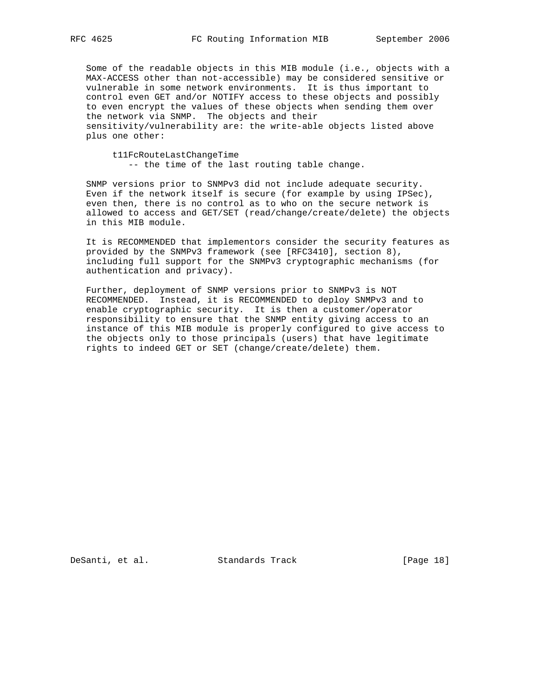Some of the readable objects in this MIB module (i.e., objects with a MAX-ACCESS other than not-accessible) may be considered sensitive or vulnerable in some network environments. It is thus important to control even GET and/or NOTIFY access to these objects and possibly to even encrypt the values of these objects when sending them over the network via SNMP. The objects and their sensitivity/vulnerability are: the write-able objects listed above plus one other:

 t11FcRouteLastChangeTime -- the time of the last routing table change.

 SNMP versions prior to SNMPv3 did not include adequate security. Even if the network itself is secure (for example by using IPSec), even then, there is no control as to who on the secure network is allowed to access and GET/SET (read/change/create/delete) the objects in this MIB module.

 It is RECOMMENDED that implementors consider the security features as provided by the SNMPv3 framework (see [RFC3410], section 8), including full support for the SNMPv3 cryptographic mechanisms (for authentication and privacy).

 Further, deployment of SNMP versions prior to SNMPv3 is NOT RECOMMENDED. Instead, it is RECOMMENDED to deploy SNMPv3 and to enable cryptographic security. It is then a customer/operator responsibility to ensure that the SNMP entity giving access to an instance of this MIB module is properly configured to give access to the objects only to those principals (users) that have legitimate rights to indeed GET or SET (change/create/delete) them.

DeSanti, et al. Standards Track [Page 18]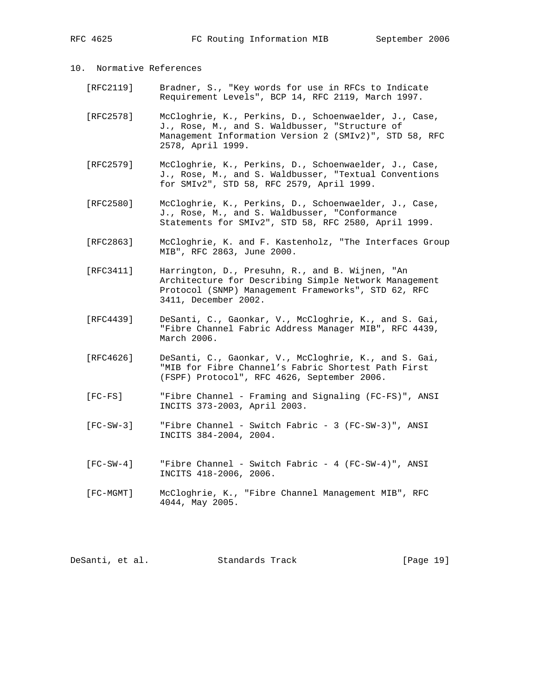- 10. Normative References
	- [RFC2119] Bradner, S., "Key words for use in RFCs to Indicate Requirement Levels", BCP 14, RFC 2119, March 1997.
	- [RFC2578] McCloghrie, K., Perkins, D., Schoenwaelder, J., Case, J., Rose, M., and S. Waldbusser, "Structure of Management Information Version 2 (SMIv2)", STD 58, RFC 2578, April 1999.
	- [RFC2579] McCloghrie, K., Perkins, D., Schoenwaelder, J., Case, J., Rose, M., and S. Waldbusser, "Textual Conventions for SMIv2", STD 58, RFC 2579, April 1999.
	- [RFC2580] McCloghrie, K., Perkins, D., Schoenwaelder, J., Case, J., Rose, M., and S. Waldbusser, "Conformance Statements for SMIv2", STD 58, RFC 2580, April 1999.
	- [RFC2863] McCloghrie, K. and F. Kastenholz, "The Interfaces Group MIB", RFC 2863, June 2000.
	- [RFC3411] Harrington, D., Presuhn, R., and B. Wijnen, "An Architecture for Describing Simple Network Management Protocol (SNMP) Management Frameworks", STD 62, RFC 3411, December 2002.
	- [RFC4439] DeSanti, C., Gaonkar, V., McCloghrie, K., and S. Gai, "Fibre Channel Fabric Address Manager MIB", RFC 4439, March 2006.
	- [RFC4626] DeSanti, C., Gaonkar, V., McCloghrie, K., and S. Gai, "MIB for Fibre Channel's Fabric Shortest Path First (FSPF) Protocol", RFC 4626, September 2006.
	- [FC-FS] "Fibre Channel Framing and Signaling (FC-FS)", ANSI INCITS 373-2003, April 2003.
	- [FC-SW-3] "Fibre Channel Switch Fabric 3 (FC-SW-3)", ANSI INCITS 384-2004, 2004.
	- [FC-SW-4] "Fibre Channel Switch Fabric 4 (FC-SW-4)", ANSI INCITS 418-2006, 2006.
	- [FC-MGMT] McCloghrie, K., "Fibre Channel Management MIB", RFC 4044, May 2005.

| DeSanti, et al.<br>Standards Track | [Page 19] |
|------------------------------------|-----------|
|------------------------------------|-----------|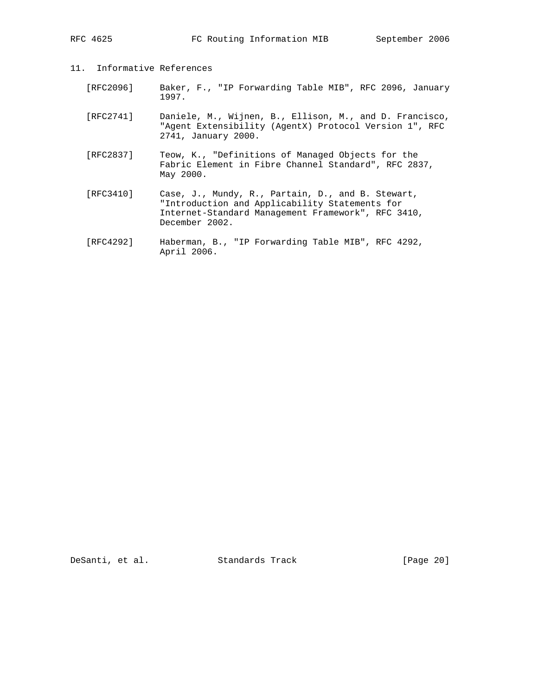- 11. Informative References
	- [RFC2096] Baker, F., "IP Forwarding Table MIB", RFC 2096, January 1997.
	- [RFC2741] Daniele, M., Wijnen, B., Ellison, M., and D. Francisco, "Agent Extensibility (AgentX) Protocol Version 1", RFC 2741, January 2000.
	- [RFC2837] Teow, K., "Definitions of Managed Objects for the Fabric Element in Fibre Channel Standard", RFC 2837, May 2000.
	- [RFC3410] Case, J., Mundy, R., Partain, D., and B. Stewart, "Introduction and Applicability Statements for Internet-Standard Management Framework", RFC 3410, December 2002.
	- [RFC4292] Haberman, B., "IP Forwarding Table MIB", RFC 4292, April 2006.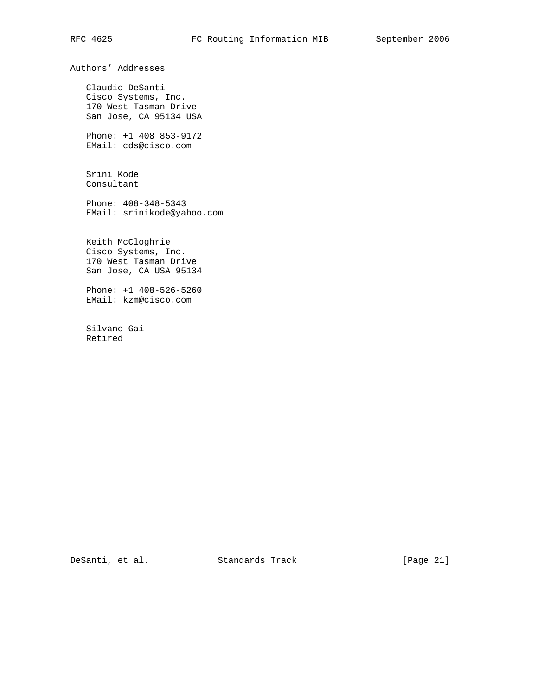Authors' Addresses

 Claudio DeSanti Cisco Systems, Inc. 170 West Tasman Drive San Jose, CA 95134 USA

 Phone: +1 408 853-9172 EMail: cds@cisco.com

 Srini Kode Consultant

 Phone: 408-348-5343 EMail: srinikode@yahoo.com

 Keith McCloghrie Cisco Systems, Inc. 170 West Tasman Drive San Jose, CA USA 95134

 Phone: +1 408-526-5260 EMail: kzm@cisco.com

 Silvano Gai Retired

DeSanti, et al. Standards Track [Page 21]